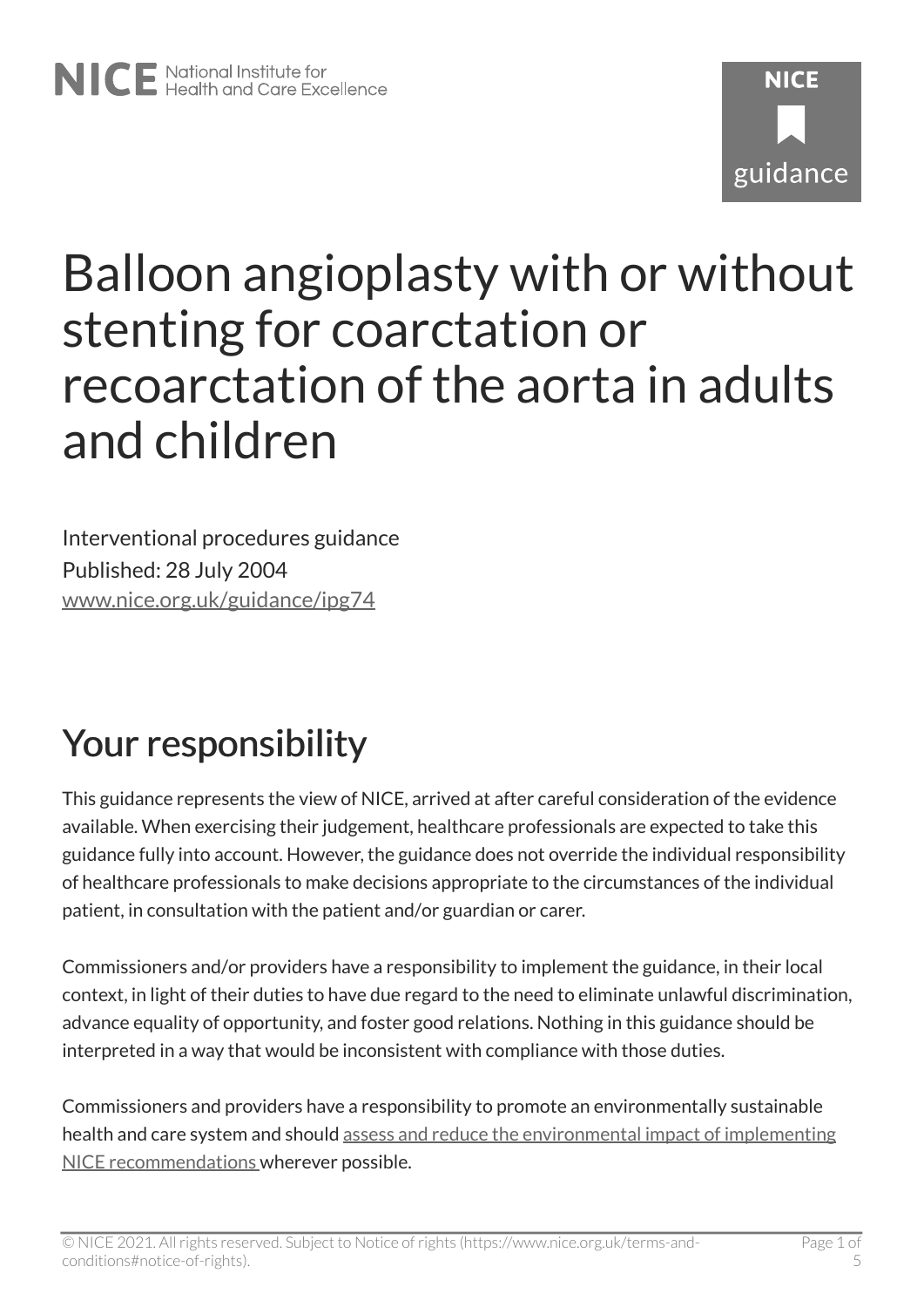# NICE National Institute for<br>
Realth and Care Excellence

# **NICF** guidance

# Balloon angioplasty with or without stenting for coarctation or recoarctation of the aorta in adults and children

Interventional procedures guidance Published: 28 July 2004 [www.nice.org.uk/guidance/ipg74](https://www.nice.org.uk/guidance/ipg74) 

# Your responsibility

This guidance represents the view of NICE, arrived at after careful consideration of the evidence available. When exercising their judgement, healthcare professionals are expected to take this guidance fully into account. However, the guidance does not override the individual responsibility of healthcare professionals to make decisions appropriate to the circumstances of the individual patient, in consultation with the patient and/or guardian or carer.

Commissioners and/or providers have a responsibility to implement the guidance, in their local context, in light of their duties to have due regard to the need to eliminate unlawful discrimination, advance equality of opportunity, and foster good relations. Nothing in this guidance should be interpreted in a way that would be inconsistent with compliance with those duties.

Commissioners and providers have a responsibility to promote an environmentally sustainable health and care system and should [assess and reduce the environmental impact of implementing](https://www.nice.org.uk/about/who-we-are/sustainability)  [NICE recommendations w](https://www.nice.org.uk/about/who-we-are/sustainability)herever possible.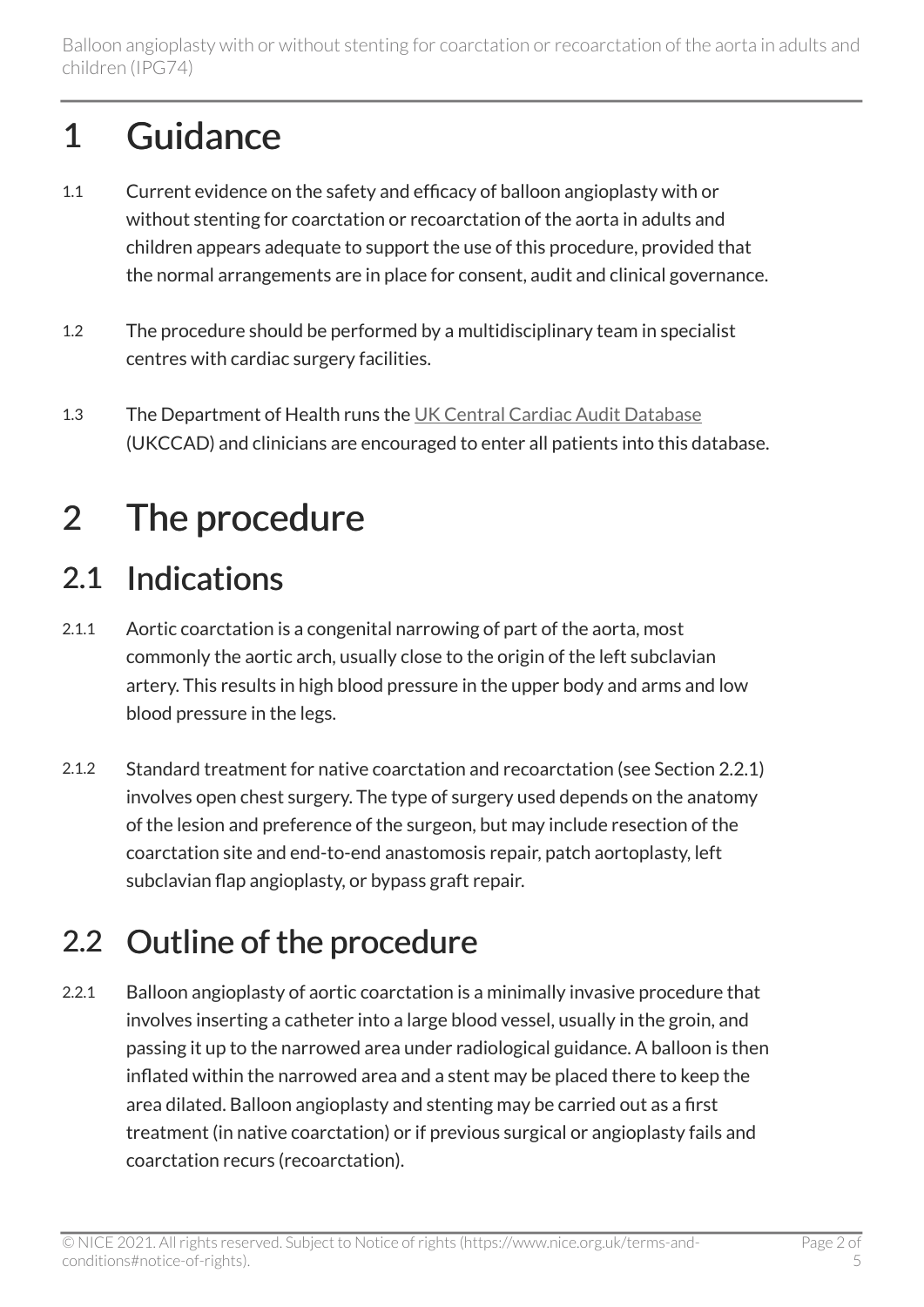# 1 Guidance

- 1.1 Current evidence on the safety and efficacy of balloon angioplasty with or without stenting for coarctation or recoarctation of the aorta in adults and children appears adequate to support the use of this procedure, provided that the normal arrangements are in place for consent, audit and clinical governance.
- 1.2 The procedure should be performed by a multidisciplinary team in specialist centres with cardiac surgery facilities.
- 1.3 The Department of Health runs the [UK Central Cardiac Audit Database](http://www.ucl.ac.uk/nicor) (UKCCAD) and clinicians are encouraged to enter all patients into this database.

# 2 The procedure

### 2.1 Indications

- 2.1.1 Aortic coarctation is a congenital narrowing of part of the aorta, most commonly the aortic arch, usually close to the origin of the left subclavian artery. This results in high blood pressure in the upper body and arms and low blood pressure in the legs.
- 2.1.2 Standard treatment for native coarctation and recoarctation (see Section 2.2.1) involves open chest surgery. The type of surgery used depends on the anatomy of the lesion and preference of the surgeon, but may include resection of the coarctation site and end-to-end anastomosis repair, patch aortoplasty, left subclavian flap angioplasty, or bypass graft repair.

### 2.2 Outline of the procedure

2.2.1 Balloon angioplasty of aortic coarctation is a minimally invasive procedure that involves inserting a catheter into a large blood vessel, usually in the groin, and passing it up to the narrowed area under radiological guidance. A balloon is then inflated within the narrowed area and a stent may be placed there to keep the area dilated. Balloon angioplasty and stenting may be carried out as a first treatment (in native coarctation) or if previous surgical or angioplasty fails and coarctation recurs (recoarctation).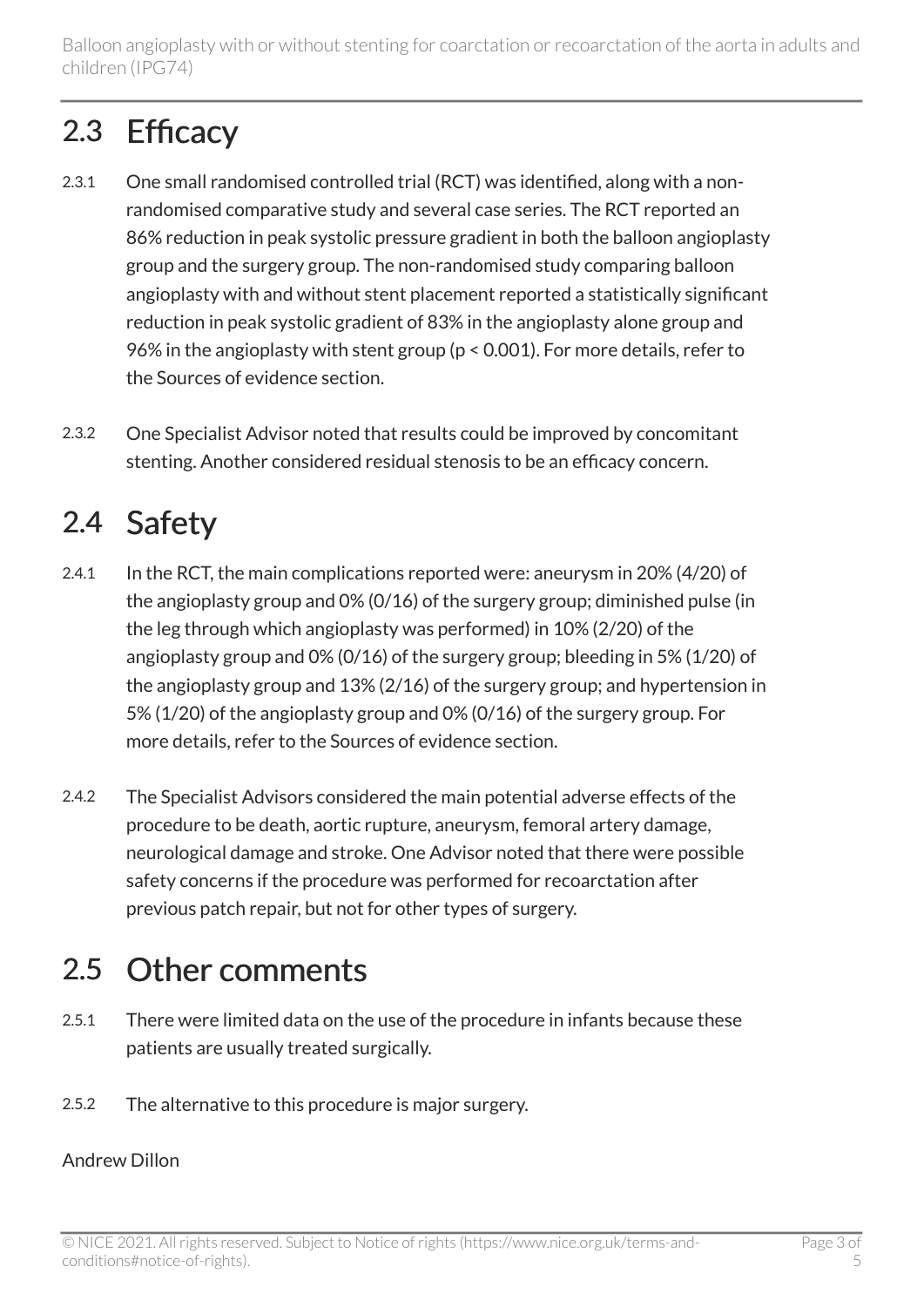Balloon angioplasty with or without stenting for coarctation or recoarctation of the aorta in adults and children (IPG74)

### 2.3 Efficacy

- 2.3.1 One small randomised controlled trial (RCT) was identified, along with a nonrandomised comparative study and several case series. The RCT reported an 86% reduction in peak systolic pressure gradient in both the balloon angioplasty group and the surgery group. The non-randomised study comparing balloon angioplasty with and without stent placement reported a statistically significant reduction in peak systolic gradient of 83% in the angioplasty alone group and 96% in the angioplasty with stent group (p < 0.001). For more details, refer to the Sources of evidence section.
- 2.3.2 One Specialist Advisor noted that results could be improved by concomitant stenting. Another considered residual stenosis to be an efficacy concern.

### 2.4 Safety

- 2.4.1 In the RCT, the main complications reported were: aneurysm in 20% (4/20) of the angioplasty group and 0% (0/16) of the surgery group; diminished pulse (in the leg through which angioplasty was performed) in 10% (2/20) of the angioplasty group and 0% (0/16) of the surgery group; bleeding in 5% (1/20) of the angioplasty group and 13% (2/16) of the surgery group; and hypertension in 5% (1/20) of the angioplasty group and 0% (0/16) of the surgery group. For more details, refer to the Sources of evidence section.
- 2.4.2 The Specialist Advisors considered the main potential adverse effects of the procedure to be death, aortic rupture, aneurysm, femoral artery damage, neurological damage and stroke. One Advisor noted that there were possible safety concerns if the procedure was performed for recoarctation after previous patch repair, but not for other types of surgery.

### 2.5 Other comments

- 2.5.1 There were limited data on the use of the procedure in infants because these patients are usually treated surgically.
- 2.5.2 The alternative to this procedure is major surgery.

#### Andrew Dillon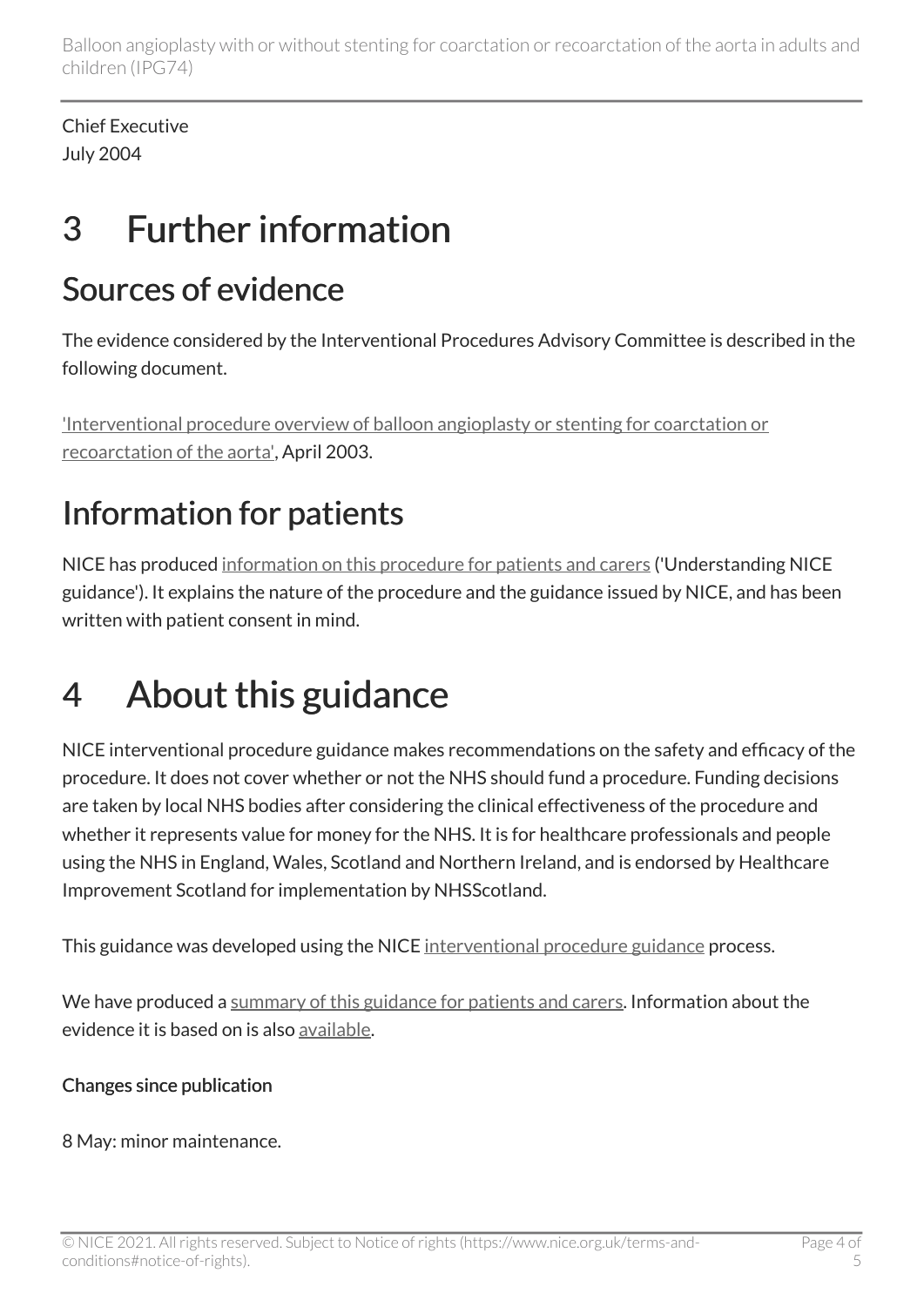Balloon angioplasty with or without stenting for coarctation or recoarctation of the aorta in adults and children (IPG74)

Chief Executive July 2004

## 3 Further information

### Sources of evidence

The evidence considered by the Interventional Procedures Advisory Committee is described in the following document.

['Interventional procedure overview of balloon angioplasty or stenting for coarctation or](http://www.nice.org.uk/proxy/?sourceUrl=http%3a%2f%2fwww.nice.org.uk%2fip142overview) [recoarctation of the aorta',](http://www.nice.org.uk/proxy/?sourceUrl=http%3a%2f%2fwww.nice.org.uk%2fip142overview) April 2003.

### Information for patients

NICE has produced [information on this procedure for patients and carers](http://www.nice.org.uk/guidance/ipg74/informationforpublic) ('Understanding NICE guidance'). It explains the nature of the procedure and the guidance issued by NICE, and has been written with patient consent in mind.

## 4 About this guidance

NICE interventional procedure guidance makes recommendations on the safety and efficacy of the procedure. It does not cover whether or not the NHS should fund a procedure. Funding decisions are taken by local NHS bodies after considering the clinical effectiveness of the procedure and whether it represents value for money for the NHS. It is for healthcare professionals and people using the NHS in England, Wales, Scotland and Northern Ireland, and is endorsed by Healthcare Improvement Scotland for implementation by NHSScotland.

This guidance was developed using the NICE [interventional procedure guidance](http://www.nice.org.uk/about/what-we-do/our-programmes/nice-guidance/nice-interventional-procedures-guidance) process.

We have produced a [summary of this guidance for patients and carers.](http://www.nice.org.uk/guidance/ipg74/informationforpublic) Information about the evidence it is based on is also [available](http://www.nice.org.uk/guidance/ipg74).

#### Changes since publication

8 May: minor maintenance.